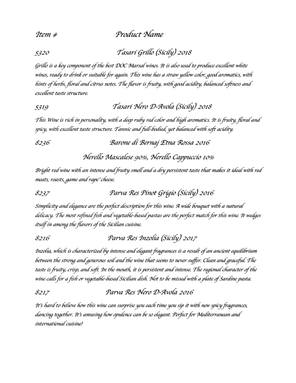*Item # Product Name*

*5320 Tasari Grillo* (*Sicily*)*<sup>2018</sup>*

*Grillo is a key component of the best DOC Marsal wines. It is also used to produce excellent white wines, ready to drink or suitable for again. This wine has a straw yellow color, good aromatics, with hints of herbs, floral and citrus notes. The flavor is fruity, with good acidity, balanced softness and excellent taste structure.*

## *5319 Tasari Nero D-Avola* (*Sicily*)*<sup>2018</sup>*

*This Wine is rich in personality, with a deep ruby red color and high aromatics. It is fruity, floral and spicy, with excellent taste structure. Tannic and full-bodied, yet balanced with soft acidity.*

*8236 Barone di Bernaj Etna Rossa 2016* 

*Nerello Mascalese 90%, Nerello Cappuccio 10%*

*Bright red wine with an intense and fruity smell and a dry persistent taste that makes it ideal with red meats, roasts, game and rape*' *cheese.*

*8237 Parva Res Pinot Grigio* (*Sicily*)*<sup>2016</sup>*

*Simplicity and elegance are the perfect description for this wine. A wide bouquet with a natural delicacy. The most refined fish and vegetable-based pastas are the perfect match for this wine. It wedges itself in among the flavors of the Sicilian cuisine.* 

*8216 Parva Res Inzolia* (*Sicily*)*<sup>2017</sup>*

*Inzolia, which is characterized by intense and elegant fragrances is a result of an ancient equilibrium between the strong and generous soil and the wine that seems to never suffer. Clean and graceful. The taste is fruity, crisp, and soft. In the mouth, it is persistent and intense. The regional character of the wine calls for a fish or vegetable-based Sicilian dish. Not to be missed with a plate of Sardine pasta.* 

*8217 Parva Res Nero D-Avola 2016*

*It*'*s hard to believe how this wine can surprise you each time you sip it with new spicy fragrances, dancing together. It*'*s amusing how opulence can be so elegant. Perfect for Mediterranean and international cuisine!*